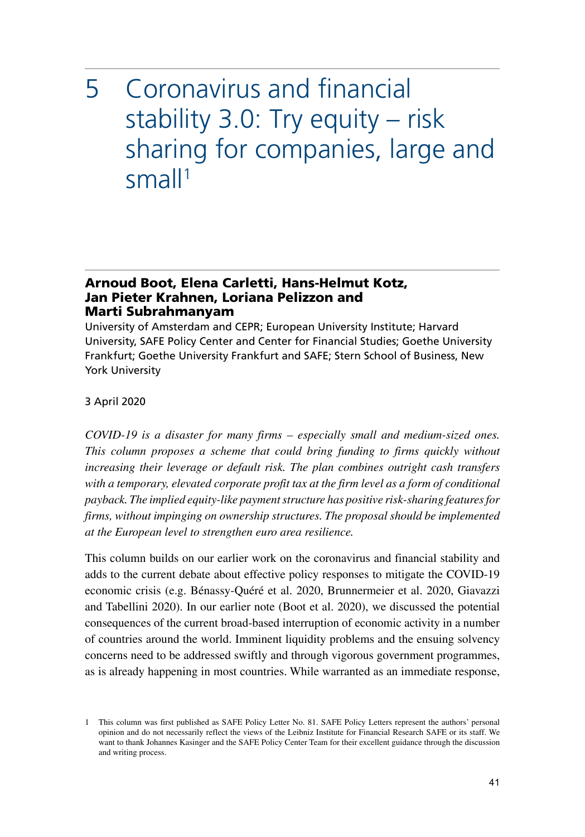# 5 Coronavirus and financial stability 3.0: Try equity – risk sharing for companies, large and small<sup>1</sup>

#### Arnoud Boot, Elena Carletti, Hans-Helmut Kotz, Jan Pieter Krahnen, Loriana Pelizzon and Marti Subrahmanyam

University of Amsterdam and CEPR; European University Institute; Harvard University, SAFE Policy Center and Center for Financial Studies; Goethe University Frankfurt; Goethe University Frankfurt and SAFE; Stern School of Business, New York University

3 April 2020

*COVID-19 is a disaster for many firms – especially small and medium-sized ones. This column proposes a scheme that could bring funding to firms quickly without increasing their leverage or default risk. The plan combines outright cash transfers with a temporary, elevated corporate profit tax at the firm level as a form of conditional payback. The implied equity-like payment structure has positive risk-sharing features for firms, without impinging on ownership structures. The proposal should be implemented at the European level to strengthen euro area resilience.*

This column builds on our earlier work on the coronavirus and financial stability and adds to the current debate about effective policy responses to mitigate the COVID-19 economic crisis (e.g. Bénassy-Quéré et al. 2020, Brunnermeier et al. 2020, Giavazzi and Tabellini 2020). In our earlier note (Boot et al. 2020), we discussed the potential consequences of the current broad-based interruption of economic activity in a number of countries around the world. Imminent liquidity problems and the ensuing solvency concerns need to be addressed swiftly and through vigorous government programmes, as is already happening in most countries. While warranted as an immediate response,

<sup>1</sup> This column was first published as SAFE Policy Letter No. 81. SAFE Policy Letters represent the authors' personal opinion and do not necessarily reflect the views of the Leibniz Institute for Financial Research SAFE or its staff. We want to thank Johannes Kasinger and the SAFE Policy Center Team for their excellent guidance through the discussion and writing process.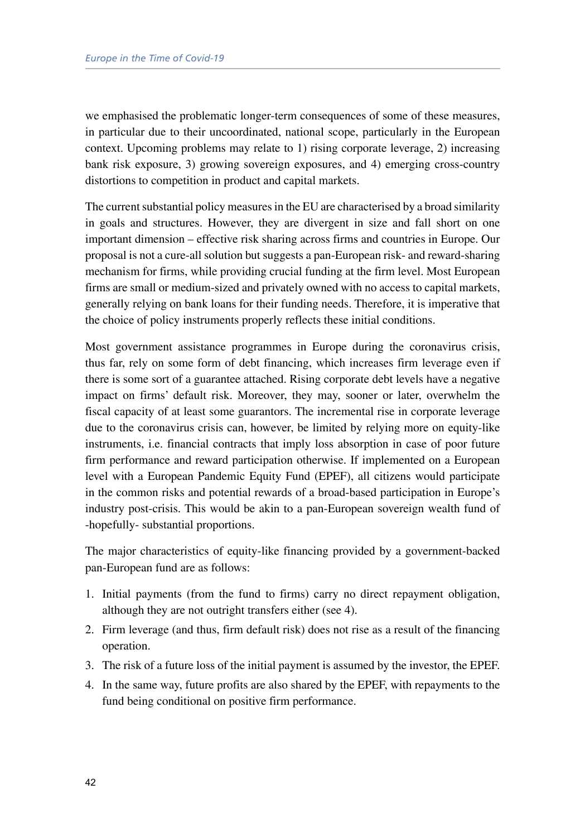we emphasised the problematic longer-term consequences of some of these measures, in particular due to their uncoordinated, national scope, particularly in the European context. Upcoming problems may relate to 1) rising corporate leverage, 2) increasing bank risk exposure, 3) growing sovereign exposures, and 4) emerging cross-country distortions to competition in product and capital markets.

The current substantial policy measures in the EU are characterised by a broad similarity in goals and structures. However, they are divergent in size and fall short on one important dimension – effective risk sharing across firms and countries in Europe. Our proposal is not a cure-all solution but suggests a pan-European risk- and reward-sharing mechanism for firms, while providing crucial funding at the firm level. Most European firms are small or medium-sized and privately owned with no access to capital markets, generally relying on bank loans for their funding needs. Therefore, it is imperative that the choice of policy instruments properly reflects these initial conditions.

Most government assistance programmes in Europe during the coronavirus crisis, thus far, rely on some form of debt financing, which increases firm leverage even if there is some sort of a guarantee attached. Rising corporate debt levels have a negative impact on firms' default risk. Moreover, they may, sooner or later, overwhelm the fiscal capacity of at least some guarantors. The incremental rise in corporate leverage due to the coronavirus crisis can, however, be limited by relying more on equity-like instruments, i.e. financial contracts that imply loss absorption in case of poor future firm performance and reward participation otherwise. If implemented on a European level with a European Pandemic Equity Fund (EPEF), all citizens would participate in the common risks and potential rewards of a broad-based participation in Europe's industry post-crisis. This would be akin to a pan-European sovereign wealth fund of -hopefully- substantial proportions.

The major characteristics of equity-like financing provided by a government-backed pan-European fund are as follows:

- 1. Initial payments (from the fund to firms) carry no direct repayment obligation, although they are not outright transfers either (see 4).
- 2. Firm leverage (and thus, firm default risk) does not rise as a result of the financing operation.
- 3. The risk of a future loss of the initial payment is assumed by the investor, the EPEF.
- 4. In the same way, future profits are also shared by the EPEF, with repayments to the fund being conditional on positive firm performance.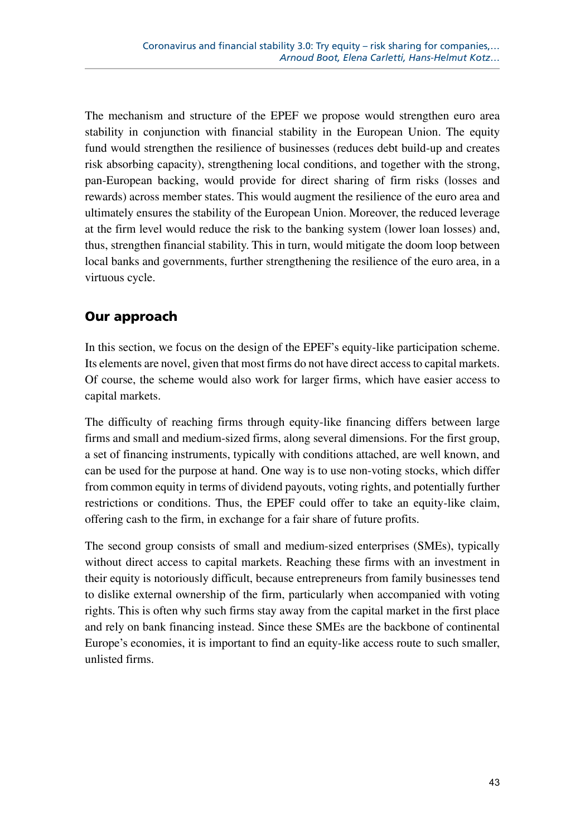The mechanism and structure of the EPEF we propose would strengthen euro area stability in conjunction with financial stability in the European Union. The equity fund would strengthen the resilience of businesses (reduces debt build-up and creates risk absorbing capacity), strengthening local conditions, and together with the strong, pan-European backing, would provide for direct sharing of firm risks (losses and rewards) across member states. This would augment the resilience of the euro area and ultimately ensures the stability of the European Union. Moreover, the reduced leverage at the firm level would reduce the risk to the banking system (lower loan losses) and, thus, strengthen financial stability. This in turn, would mitigate the doom loop between local banks and governments, further strengthening the resilience of the euro area, in a virtuous cycle.

## Our approach

In this section, we focus on the design of the EPEF's equity-like participation scheme. Its elements are novel, given that most firms do not have direct access to capital markets. Of course, the scheme would also work for larger firms, which have easier access to capital markets.

The difficulty of reaching firms through equity-like financing differs between large firms and small and medium-sized firms, along several dimensions. For the first group, a set of financing instruments, typically with conditions attached, are well known, and can be used for the purpose at hand. One way is to use non-voting stocks, which differ from common equity in terms of dividend payouts, voting rights, and potentially further restrictions or conditions. Thus, the EPEF could offer to take an equity-like claim, offering cash to the firm, in exchange for a fair share of future profits.

The second group consists of small and medium-sized enterprises (SMEs), typically without direct access to capital markets. Reaching these firms with an investment in their equity is notoriously difficult, because entrepreneurs from family businesses tend to dislike external ownership of the firm, particularly when accompanied with voting rights. This is often why such firms stay away from the capital market in the first place and rely on bank financing instead. Since these SMEs are the backbone of continental Europe's economies, it is important to find an equity-like access route to such smaller, unlisted firms.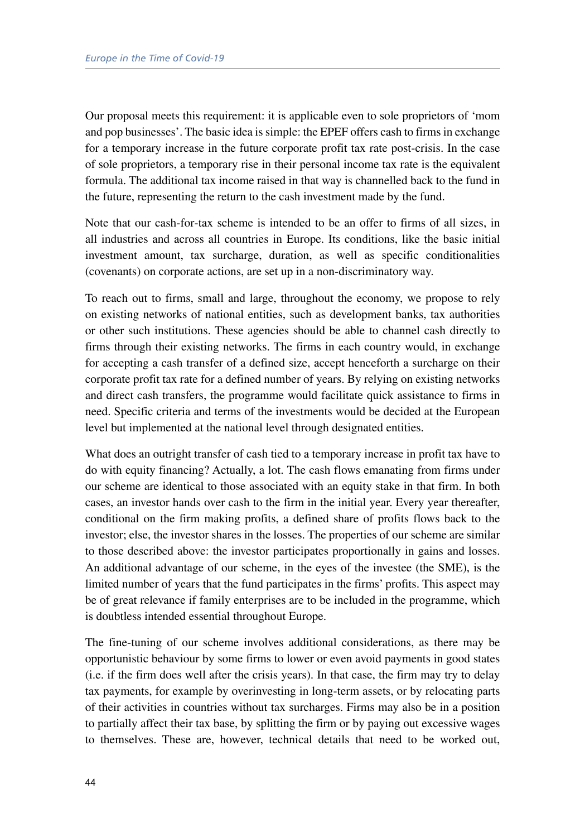Our proposal meets this requirement: it is applicable even to sole proprietors of 'mom and pop businesses'. The basic idea is simple: the EPEF offers cash to firms in exchange for a temporary increase in the future corporate profit tax rate post-crisis. In the case of sole proprietors, a temporary rise in their personal income tax rate is the equivalent formula. The additional tax income raised in that way is channelled back to the fund in the future, representing the return to the cash investment made by the fund.

Note that our cash-for-tax scheme is intended to be an offer to firms of all sizes, in all industries and across all countries in Europe. Its conditions, like the basic initial investment amount, tax surcharge, duration, as well as specific conditionalities (covenants) on corporate actions, are set up in a non-discriminatory way.

To reach out to firms, small and large, throughout the economy, we propose to rely on existing networks of national entities, such as development banks, tax authorities or other such institutions. These agencies should be able to channel cash directly to firms through their existing networks. The firms in each country would, in exchange for accepting a cash transfer of a defined size, accept henceforth a surcharge on their corporate profit tax rate for a defined number of years. By relying on existing networks and direct cash transfers, the programme would facilitate quick assistance to firms in need. Specific criteria and terms of the investments would be decided at the European level but implemented at the national level through designated entities.

What does an outright transfer of cash tied to a temporary increase in profit tax have to do with equity financing? Actually, a lot. The cash flows emanating from firms under our scheme are identical to those associated with an equity stake in that firm. In both cases, an investor hands over cash to the firm in the initial year. Every year thereafter, conditional on the firm making profits, a defined share of profits flows back to the investor; else, the investor shares in the losses. The properties of our scheme are similar to those described above: the investor participates proportionally in gains and losses. An additional advantage of our scheme, in the eyes of the investee (the SME), is the limited number of years that the fund participates in the firms' profits. This aspect may be of great relevance if family enterprises are to be included in the programme, which is doubtless intended essential throughout Europe.

The fine-tuning of our scheme involves additional considerations, as there may be opportunistic behaviour by some firms to lower or even avoid payments in good states (i.e. if the firm does well after the crisis years). In that case, the firm may try to delay tax payments, for example by overinvesting in long-term assets, or by relocating parts of their activities in countries without tax surcharges. Firms may also be in a position to partially affect their tax base, by splitting the firm or by paying out excessive wages to themselves. These are, however, technical details that need to be worked out,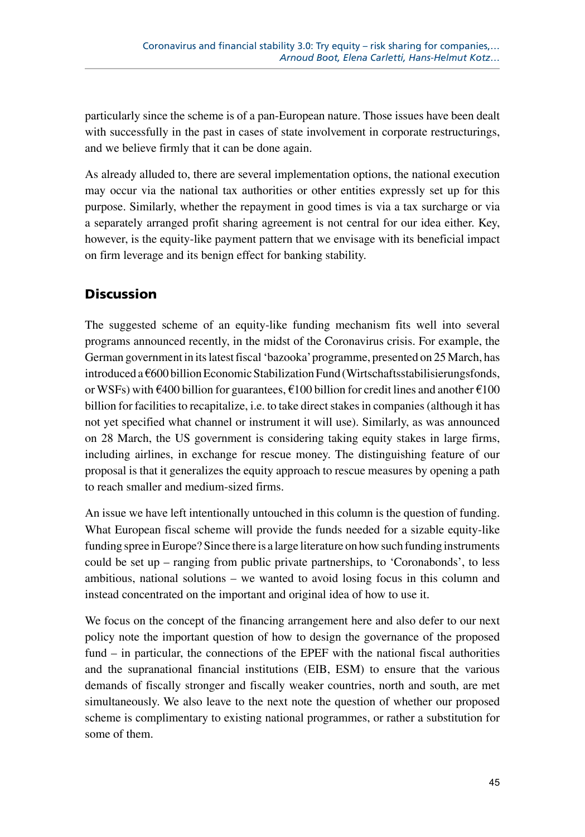particularly since the scheme is of a pan-European nature. Those issues have been dealt with successfully in the past in cases of state involvement in corporate restructurings, and we believe firmly that it can be done again.

As already alluded to, there are several implementation options, the national execution may occur via the national tax authorities or other entities expressly set up for this purpose. Similarly, whether the repayment in good times is via a tax surcharge or via a separately arranged profit sharing agreement is not central for our idea either. Key, however, is the equity-like payment pattern that we envisage with its beneficial impact on firm leverage and its benign effect for banking stability.

## **Discussion**

The suggested scheme of an equity-like funding mechanism fits well into several programs announced recently, in the midst of the Coronavirus crisis. For example, the German government in its latest fiscal 'bazooka' programme, presented on 25 March, has introduced a €600 billion Economic Stabilization Fund (Wirtschaftsstabilisierungsfonds, or WSFs) with  $\epsilon$ 400 billion for guarantees,  $\epsilon$ 100 billion for credit lines and another  $\epsilon$ 100 billion for facilities to recapitalize, i.e. to take direct stakes in companies (although it has not yet specified what channel or instrument it will use). Similarly, as was announced on 28 March, the US government is considering taking equity stakes in large firms, including airlines, in exchange for rescue money. The distinguishing feature of our proposal is that it generalizes the equity approach to rescue measures by opening a path to reach smaller and medium-sized firms.

An issue we have left intentionally untouched in this column is the question of funding. What European fiscal scheme will provide the funds needed for a sizable equity-like funding spree in Europe? Since there is a large literature on how such funding instruments could be set up – ranging from public private partnerships, to 'Coronabonds', to less ambitious, national solutions – we wanted to avoid losing focus in this column and instead concentrated on the important and original idea of how to use it.

We focus on the concept of the financing arrangement here and also defer to our next policy note the important question of how to design the governance of the proposed fund – in particular, the connections of the EPEF with the national fiscal authorities and the supranational financial institutions (EIB, ESM) to ensure that the various demands of fiscally stronger and fiscally weaker countries, north and south, are met simultaneously. We also leave to the next note the question of whether our proposed scheme is complimentary to existing national programmes, or rather a substitution for some of them.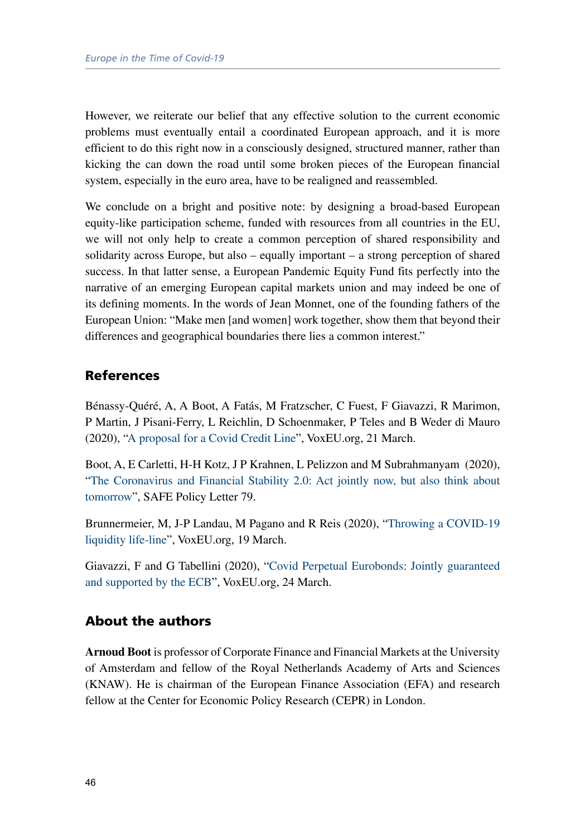However, we reiterate our belief that any effective solution to the current economic problems must eventually entail a coordinated European approach, and it is more efficient to do this right now in a consciously designed, structured manner, rather than kicking the can down the road until some broken pieces of the European financial system, especially in the euro area, have to be realigned and reassembled.

We conclude on a bright and positive note: by designing a broad-based European equity-like participation scheme, funded with resources from all countries in the EU, we will not only help to create a common perception of shared responsibility and solidarity across Europe, but also – equally important – a strong perception of shared success. In that latter sense, a European Pandemic Equity Fund fits perfectly into the narrative of an emerging European capital markets union and may indeed be one of its defining moments. In the words of Jean Monnet, one of the founding fathers of the European Union: "Make men [and women] work together, show them that beyond their differences and geographical boundaries there lies a common interest."

#### References

Bénassy-Quéré, A, A Boot, A Fatás, M Fratzscher, C Fuest, F Giavazzi, R Marimon, P Martin, J Pisani-Ferry, L Reichlin, D Schoenmaker, P Teles and B Weder di Mauro (2020), ["A proposal for a Covid Credit Line"](https://voxeu.org/article/proposal-covid-credit-line), VoxEU.org, 21 March.

Boot, A, E Carletti, H-H Kotz, J P Krahnen, L Pelizzon and M Subrahmanyam (2020), ["The Coronavirus and Financial Stability 2.0: Act jointly now, but also think about](https://safe-frankfurt.de/policy-center/policy-publications/policy-publ-detailsview/publicationname/corona-and-financial-stability-20-act-jointly-now-but-also-think-about-tomorrow.html)  [tomorrow](https://safe-frankfurt.de/policy-center/policy-publications/policy-publ-detailsview/publicationname/corona-and-financial-stability-20-act-jointly-now-but-also-think-about-tomorrow.html)", SAFE Policy Letter 79.

Brunnermeier, M, J-P Landau, M Pagano and R Reis (2020), ["Throwing a COVID-19](https://voxeu.org/debates/commentaries/throwing-covid-19-liquidity-life-line)  [liquidity life-line](https://voxeu.org/debates/commentaries/throwing-covid-19-liquidity-life-line)", VoxEU.org, 19 March.

Giavazzi, F and G Tabellini (2020), ["Covid Perpetual Eurobonds: Jointly guaranteed](https://voxeu.org/article/covid-perpetual-eurobonds)  [and supported by the ECB"](https://voxeu.org/article/covid-perpetual-eurobonds), VoxEU.org, 24 March.

### About the authors

**Arnoud Boot** is professor of Corporate Finance and Financial Markets at the University of Amsterdam and fellow of the Royal Netherlands Academy of Arts and Sciences (KNAW). He is chairman of the European Finance Association (EFA) and research fellow at the Center for Economic Policy Research (CEPR) in London.